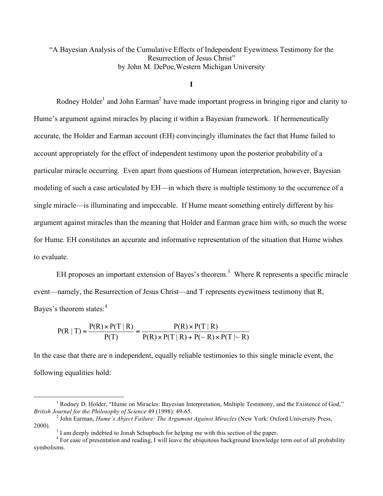"A Bayesian Analysis of the Cumulative Effects of Independent Eyewitness Testimony for the Resurrection of Jesus Christ" by John M. DePoe,Western Michigan University

**I**

Rodney Holder<sup>1</sup> and John Earman<sup>2</sup> have made important progress in bringing rigor and clarity to Hume's argument against miracles by placing it within a Bayesian framework. If hermeneutically accurate, the Holder and Earman account (EH) convincingly illuminates the fact that Hume failed to account appropriately for the effect of independent testimony upon the posterior probability of a particular miracle occurring. Even apart from questions of Humean interpretation, however, Bayesian modeling of such a case articulated by EH—in which there is multiple testimony to the occurrence of a single miracle—is illuminating and impeccable. If Hume meant something entirely different by his argument against miracles than the meaning that Holder and Earman grace him with, so much the worse for Hume. EH constitutes an accurate and informative representation of the situation that Hume wishes to evaluate.

EH proposes an important extension of Bayes's theorem.<sup>3</sup> Where R represents a specific miracle event—namely, the Resurrection of Jesus Christ—and T represents eyewitness testimony that R, Bayes's theorem states:<sup>4</sup>

$$
P(R | T) = \frac{P(R) \times P(T | R)}{P(T)} = \frac{P(R) \times P(T | R)}{P(R) \times P(T | R) + P(\sim R) \times P(T | \sim R)}
$$

In the case that there are n independent, equally reliable testimonies to this single miracle event, the following equalities hold:

<sup>&</sup>lt;sup>1</sup> Rodney D. Holder, "Hume on Miracles: Bayesian Interpretation, Multiple Testimony, and the Existence of God,"<br>*British Journal for the Philosophy of Science* 49 (1998): 49-65.

<sup>&</sup>lt;sup>2</sup> John Earman, *Hume's Abject Failure: The Argument Against Miracles* (New York: Oxford University Press, 2000).<br><sup>3</sup> I am deeply indebted to Jonah Schupbach for helping me with this section of the paper.<br><sup>4</sup> For ease of presentation and reading, I will leave the ubiquitous background knowledge term out of all probability

symbolisms.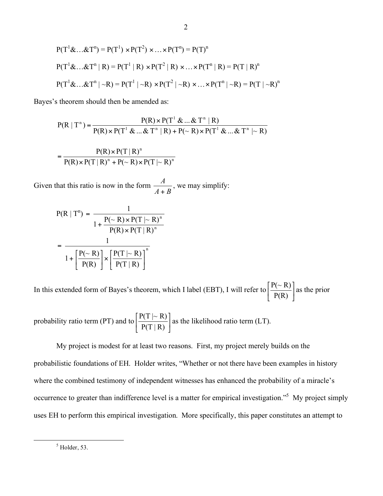$$
P(T1 & \mathbf{\&} \dots & \mathbf{\&} Tn) = P(T1) \times P(T2) \times \dots \times P(Tn) = P(T)n
$$
  
\n
$$
P(T1 & \mathbf{\&} \dots & \mathbf{\&} Tn | R) = P(T1 | R) \times P(T2 | R) \times \dots \times P(Tn | R) = P(T | R)n
$$
  
\n
$$
P(T1 & \mathbf{\&} \dots & \mathbf{\&} Tn | \sim R) = P(T1 | \sim R) \times P(T2 | \sim R) \times \dots \times P(Tn | \sim R) = P(T | \sim R)n
$$

Bayes's theorem should then be amended as:

$$
P(R | Tn) = \frac{P(R) \times P(T1 & \dots & Tn | R)}{P(R) \times P(T1 & \dots & Tn | R) + P(\sim R) \times P(T1 & \dots & Tn | \sim R)}
$$

$$
= \frac{P(R) \times P(T \mid R)^n}{P(R) \times P(T \mid R)^n + P(\sim R) \times P(T \mid \sim R)^n}
$$

Given that this ratio is now in the form *A B*  $\frac{A}{+ B}$ , we may simplify:

$$
P(R | T^n) = \frac{1}{1 + \frac{P(\sim R) \times P(T | \sim R)^n}{P(R) \times P(T | R)^n}}
$$

$$
= \frac{1}{1 + \left[\frac{P(\sim R)}{P(R)}\right] \times \left[\frac{P(T | \sim R)}{P(T | R)}\right]^n}
$$

In this extended form of Bayes's theorem, which I label (EBT), I will refer to  $\frac{1}{P(R)}$ |  $\left[ \frac{P(\sim R)}{P(R)} \right]$ % & P(R)  $\frac{P(\sim R)}{P(\sim R)}$  as the prior

probability ratio term (PT) and to  $\frac{P(1+R)}{P(T+R)}$ ]  $\left[ \frac{P(T \mid \sim R)}{P(T \mid R)} \right]$ % &  $P(T | R)$  $\frac{P(T \mid \sim R)}{P(T \mid R)}$  as the likelihood ratio term (LT).

My project is modest for at least two reasons. First, my project merely builds on the probabilistic foundations of EH. Holder writes, "Whether or not there have been examples in history where the combined testimony of independent witnesses has enhanced the probability of a miracle's occurrence to greater than indifference level is a matter for empirical investigation."<sup>5</sup> My project simply uses EH to perform this empirical investigation. More specifically, this paper constitutes an attempt to

 $<sup>5</sup>$  Holder, 53.</sup>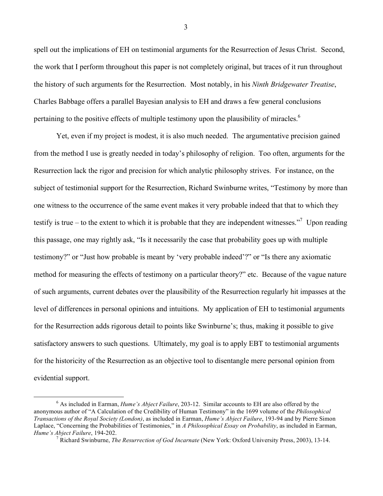spell out the implications of EH on testimonial arguments for the Resurrection of Jesus Christ. Second, the work that I perform throughout this paper is not completely original, but traces of it run throughout the history of such arguments for the Resurrection. Most notably, in his *Ninth Bridgewater Treatise*, Charles Babbage offers a parallel Bayesian analysis to EH and draws a few general conclusions pertaining to the positive effects of multiple testimony upon the plausibility of miracles.<sup>6</sup>

Yet, even if my project is modest, it is also much needed. The argumentative precision gained from the method I use is greatly needed in today's philosophy of religion. Too often, arguments for the Resurrection lack the rigor and precision for which analytic philosophy strives. For instance, on the subject of testimonial support for the Resurrection, Richard Swinburne writes, "Testimony by more than one witness to the occurrence of the same event makes it very probable indeed that that to which they testify is true – to the extent to which it is probable that they are independent witnesses."<sup>7</sup> Upon reading this passage, one may rightly ask, "Is it necessarily the case that probability goes up with multiple testimony?" or "Just how probable is meant by 'very probable indeed'?" or "Is there any axiomatic method for measuring the effects of testimony on a particular theory?" etc. Because of the vague nature of such arguments, current debates over the plausibility of the Resurrection regularly hit impasses at the level of differences in personal opinions and intuitions. My application of EH to testimonial arguments for the Resurrection adds rigorous detail to points like Swinburne's; thus, making it possible to give satisfactory answers to such questions. Ultimately, my goal is to apply EBT to testimonial arguments for the historicity of the Resurrection as an objective tool to disentangle mere personal opinion from evidential support.

3

 <sup>6</sup> As included in Earman, *Hume's Abject Failure*, 203-12. Similar accounts to EH are also offered by the anonymous author of "A Calculation of the Credibility of Human Testimony" in the 1699 volume of the *Philosophical Transactions of the Royal Society (London)*, as included in Earman, *Hume's Abject Failure*, 193-94 and by Pierre Simon Laplace, "Concerning the Probabilities of Testimonies," in *A Philosophical Essay on Probability*, as included in Earman, *Hume's Abject Failure*, 194-202. <sup>7</sup> Richard Swinburne, *The Resurrection of God Incarnate* (New York: Oxford University Press, 2003), 13-14.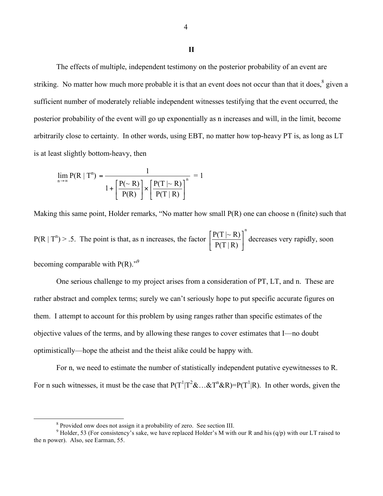The effects of multiple, independent testimony on the posterior probability of an event are striking. No matter how much more probable it is that an event does not occur than that it does,<sup>8</sup> given a sufficient number of moderately reliable independent witnesses testifying that the event occurred, the posterior probability of the event will go up exponentially as n increases and will, in the limit, become arbitrarily close to certainty. In other words, using EBT, no matter how top-heavy PT is, as long as LT is at least slightly bottom-heavy, then

$$
\lim_{n \to \infty} P(R \mid T^n) = \frac{1}{1 + \left[\frac{P(\sim R)}{P(R)}\right] \times \left[\frac{P(T \mid \sim R)}{P(T \mid R)}\right]^n} = 1
$$

Making this same point, Holder remarks, "No matter how small P(R) one can choose n (finite) such that  $P(R | T<sup>n</sup>) > .5$ . The point is that, as n increases, the factor n  $P(T | R)$  $P(T \mid \sim R)$ ! |  $\left[ \frac{P(T \mid \sim R)}{P(T \mid R)} \right]$ %  $\left[\frac{P(T|\sim R)}{R(T|\sim R)}\right]$  decreases very rapidly, soon

becoming comparable with  $P(R)$ ."<sup>9</sup>

One serious challenge to my project arises from a consideration of PT, LT, and n. These are rather abstract and complex terms; surely we can't seriously hope to put specific accurate figures on them. I attempt to account for this problem by using ranges rather than specific estimates of the objective values of the terms, and by allowing these ranges to cover estimates that I—no doubt optimistically—hope the atheist and the theist alike could be happy with.

For n, we need to estimate the number of statistically independent putative eyewitnesses to R. For n such witnesses, it must be the case that  $P(T^1|T^2\&\ldots\&T^n\&R) = P(T^1|R)$ . In other words, given the

<sup>&</sup>lt;sup>8</sup> Provided onw does not assign it a probability of zero. See section III.<br><sup>9</sup> Holder, 53 (For consistency's sake, we have replaced Holder's M with our R and his (q/p) with our LT raised to the n power). Also, see Earman, 55.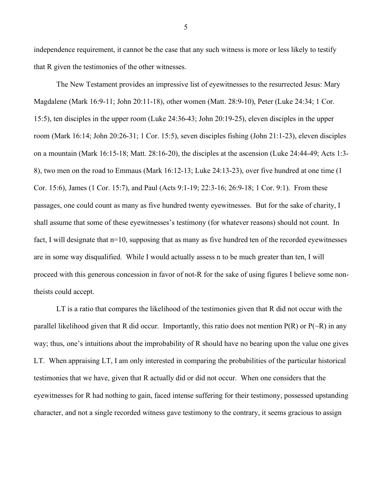independence requirement, it cannot be the case that any such witness is more or less likely to testify that R given the testimonies of the other witnesses.

The New Testament provides an impressive list of eyewitnesses to the resurrected Jesus: Mary Magdalene (Mark 16:9-11; John 20:11-18), other women (Matt. 28:9-10), Peter (Luke 24:34; 1 Cor. 15:5), ten disciples in the upper room (Luke 24:36-43; John 20:19-25), eleven disciples in the upper room (Mark 16:14; John 20:26-31; 1 Cor. 15:5), seven disciples fishing (John 21:1-23), eleven disciples on a mountain (Mark 16:15-18; Matt. 28:16-20), the disciples at the ascension (Luke 24:44-49; Acts 1:3- 8), two men on the road to Emmaus (Mark 16:12-13; Luke 24:13-23), over five hundred at one time (1 Cor. 15:6), James (1 Cor. 15:7), and Paul (Acts 9:1-19; 22:3-16; 26:9-18; 1 Cor. 9:1). From these passages, one could count as many as five hundred twenty eyewitnesses. But for the sake of charity, I shall assume that some of these eyewitnesses's testimony (for whatever reasons) should not count. In fact, I will designate that n=10, supposing that as many as five hundred ten of the recorded eyewitnesses are in some way disqualified. While I would actually assess n to be much greater than ten, I will proceed with this generous concession in favor of not-R for the sake of using figures I believe some nontheists could accept.

LT is a ratio that compares the likelihood of the testimonies given that R did not occur with the parallel likelihood given that R did occur. Importantly, this ratio does not mention  $P(R)$  or  $P(\sim R)$  in any way; thus, one's intuitions about the improbability of R should have no bearing upon the value one gives LT. When appraising LT, I am only interested in comparing the probabilities of the particular historical testimonies that we have, given that R actually did or did not occur. When one considers that the eyewitnesses for R had nothing to gain, faced intense suffering for their testimony, possessed upstanding character, and not a single recorded witness gave testimony to the contrary, it seems gracious to assign

5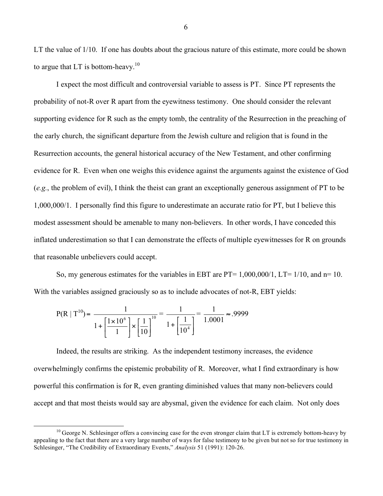LT the value of 1/10. If one has doubts about the gracious nature of this estimate, more could be shown to argue that LT is bottom-heavy.<sup>10</sup>

I expect the most difficult and controversial variable to assess is PT. Since PT represents the probability of not-R over R apart from the eyewitness testimony. One should consider the relevant supporting evidence for R such as the empty tomb, the centrality of the Resurrection in the preaching of the early church, the significant departure from the Jewish culture and religion that is found in the Resurrection accounts, the general historical accuracy of the New Testament, and other confirming evidence for R. Even when one weighs this evidence against the arguments against the existence of God (*e.g.*, the problem of evil), I think the theist can grant an exceptionally generous assignment of PT to be 1,000,000/1. I personally find this figure to underestimate an accurate ratio for PT, but I believe this modest assessment should be amenable to many non-believers. In other words, I have conceded this inflated underestimation so that I can demonstrate the effects of multiple eyewitnesses for R on grounds that reasonable unbelievers could accept.

So, my generous estimates for the variables in EBT are PT=  $1,000,000/1$ , LT=  $1/10$ , and n= 10. With the variables assigned graciously so as to include advocates of not-R, EBT yields:

$$
P(R | T^{10}) = \frac{1}{1 + \left[\frac{1 \times 10^6}{1}\right] \times \left[\frac{1}{10}\right]^{10}} = \frac{1}{1 + \left[\frac{1}{10^4}\right]} = \frac{1}{1.0001} \approx .9999
$$

Indeed, the results are striking. As the independent testimony increases, the evidence overwhelmingly confirms the epistemic probability of R. Moreover, what I find extraordinary is how powerful this confirmation is for R, even granting diminished values that many non-believers could accept and that most theists would say are abysmal, given the evidence for each claim. Not only does

6

 $10$  George N. Schlesinger offers a convincing case for the even stronger claim that LT is extremely bottom-heavy by appealing to the fact that there are a very large number of ways for false testimony to be given but not so for true testimony in Schlesinger, "The Credibility of Extraordinary Events," *Analysis* 51 (1991): 120-26.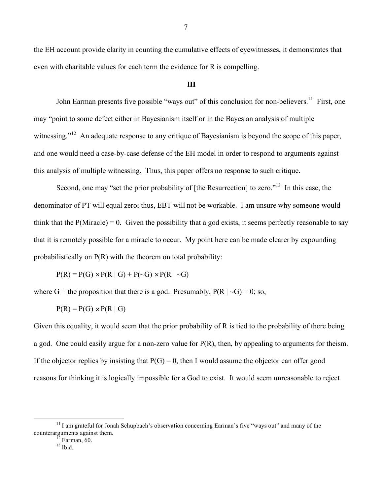the EH account provide clarity in counting the cumulative effects of eyewitnesses, it demonstrates that even with charitable values for each term the evidence for R is compelling.

## **III**

John Earman presents five possible "ways out" of this conclusion for non-believers.<sup>11</sup> First, one may "point to some defect either in Bayesianism itself or in the Bayesian analysis of multiple witnessing."<sup>12</sup> An adequate response to any critique of Bayesianism is beyond the scope of this paper, and one would need a case-by-case defense of the EH model in order to respond to arguments against this analysis of multiple witnessing. Thus, this paper offers no response to such critique.

Second, one may "set the prior probability of [the Resurrection] to zero."<sup>13</sup> In this case, the denominator of PT will equal zero; thus, EBT will not be workable. I am unsure why someone would think that the  $P(Miracle) = 0$ . Given the possibility that a god exists, it seems perfectly reasonable to say that it is remotely possible for a miracle to occur. My point here can be made clearer by expounding probabilistically on P(R) with the theorem on total probability:

 $P(R) = P(G) \times P(R | G) + P(\sim G) \times P(R | \sim G)$ 

where G = the proposition that there is a god. Presumably,  $P(R | \sim G) = 0$ ; so,

 $P(R) = P(G) \times P(R \mid G)$ 

Given this equality, it would seem that the prior probability of R is tied to the probability of there being a god. One could easily argue for a non-zero value for P(R), then, by appealing to arguments for theism. If the objector replies by insisting that  $P(G) = 0$ , then I would assume the objector can offer good reasons for thinking it is logically impossible for a God to exist. It would seem unreasonable to reject

 $11$  I am grateful for Jonah Schupbach's observation concerning Earman's five "ways out" and many of the counterarguments against them.<br> $\frac{12}{13}$  Earman, 60.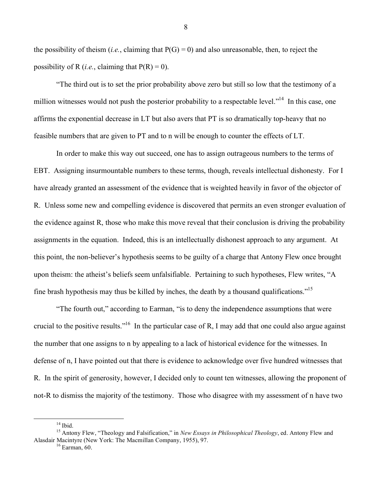the possibility of theism (*i.e.*, claiming that  $P(G) = 0$ ) and also unreasonable, then, to reject the possibility of R (*i.e.*, claiming that  $P(R) = 0$ ).

"The third out is to set the prior probability above zero but still so low that the testimony of a million witnesses would not push the posterior probability to a respectable level."<sup>14</sup> In this case, one affirms the exponential decrease in LT but also avers that PT is so dramatically top-heavy that no feasible numbers that are given to PT and to n will be enough to counter the effects of LT.

In order to make this way out succeed, one has to assign outrageous numbers to the terms of EBT. Assigning insurmountable numbers to these terms, though, reveals intellectual dishonesty. For I have already granted an assessment of the evidence that is weighted heavily in favor of the objector of R. Unless some new and compelling evidence is discovered that permits an even stronger evaluation of the evidence against R, those who make this move reveal that their conclusion is driving the probability assignments in the equation. Indeed, this is an intellectually dishonest approach to any argument. At this point, the non-believer's hypothesis seems to be guilty of a charge that Antony Flew once brought upon theism: the atheist's beliefs seem unfalsifiable. Pertaining to such hypotheses, Flew writes, "A fine brash hypothesis may thus be killed by inches, the death by a thousand qualifications."<sup>15</sup>

"The fourth out," according to Earman, "is to deny the independence assumptions that were crucial to the positive results."<sup>16</sup> In the particular case of R, I may add that one could also argue against the number that one assigns to n by appealing to a lack of historical evidence for the witnesses. In defense of n, I have pointed out that there is evidence to acknowledge over five hundred witnesses that R. In the spirit of generosity, however, I decided only to count ten witnesses, allowing the proponent of not-R to dismiss the majority of the testimony. Those who disagree with my assessment of n have two

<sup>14</sup> Ibid. <sup>15</sup> Antony Flew, "Theology and Falsification," in *New Essays in Philosophical Theology*, ed. Antony Flew and Alasdair Macintyre (New York: The Macmillan Company, 1955), 97.<br><sup>16</sup> Earman, 60.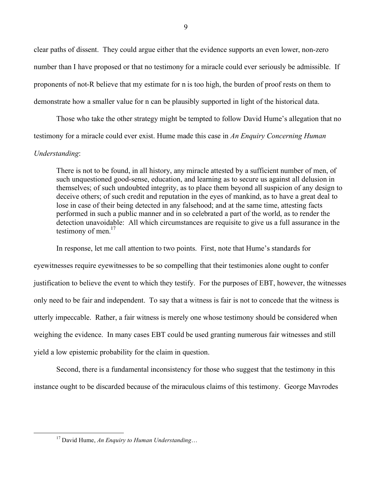clear paths of dissent. They could argue either that the evidence supports an even lower, non-zero number than I have proposed or that no testimony for a miracle could ever seriously be admissible. If proponents of not-R believe that my estimate for n is too high, the burden of proof rests on them to demonstrate how a smaller value for n can be plausibly supported in light of the historical data.

Those who take the other strategy might be tempted to follow David Hume's allegation that no testimony for a miracle could ever exist. Hume made this case in *An Enquiry Concerning Human* 

## *Understanding*:

There is not to be found, in all history, any miracle attested by a sufficient number of men, of such unquestioned good-sense, education, and learning as to secure us against all delusion in themselves; of such undoubted integrity, as to place them beyond all suspicion of any design to deceive others; of such credit and reputation in the eyes of mankind, as to have a great deal to lose in case of their being detected in any falsehood; and at the same time, attesting facts performed in such a public manner and in so celebrated a part of the world, as to render the detection unavoidable: All which circumstances are requisite to give us a full assurance in the testimony of men.<sup>17</sup>

In response, let me call attention to two points. First, note that Hume's standards for eyewitnesses require eyewitnesses to be so compelling that their testimonies alone ought to confer justification to believe the event to which they testify. For the purposes of EBT, however, the witnesses only need to be fair and independent. To say that a witness is fair is not to concede that the witness is utterly impeccable. Rather, a fair witness is merely one whose testimony should be considered when weighing the evidence. In many cases EBT could be used granting numerous fair witnesses and still yield a low epistemic probability for the claim in question.

Second, there is a fundamental inconsistency for those who suggest that the testimony in this instance ought to be discarded because of the miraculous claims of this testimony. George Mavrodes

 <sup>17</sup> David Hume, *An Enquiry to Human Understanding*…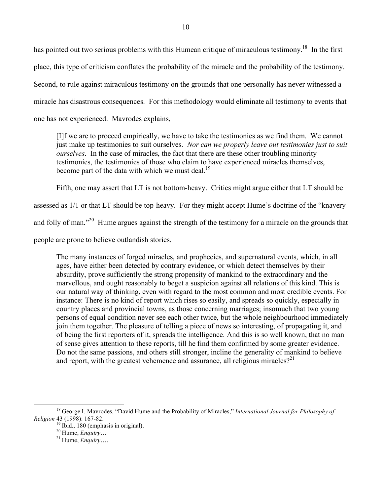has pointed out two serious problems with this Humean critique of miraculous testimony.<sup>18</sup> In the first place, this type of criticism conflates the probability of the miracle and the probability of the testimony. Second, to rule against miraculous testimony on the grounds that one personally has never witnessed a miracle has disastrous consequences. For this methodology would eliminate all testimony to events that one has not experienced. Mavrodes explains,

[I]f we are to proceed empirically, we have to take the testimonies as we find them. We cannot just make up testimonies to suit ourselves. *Nor can we properly leave out testimonies just to suit ourselves*. In the case of miracles, the fact that there are these other troubling minority testimonies, the testimonies of those who claim to have experienced miracles themselves, become part of the data with which we must deal.<sup>19</sup>

Fifth, one may assert that LT is not bottom-heavy. Critics might argue either that LT should be

assessed as 1/1 or that LT should be top-heavy. For they might accept Hume's doctrine of the "knavery

and folly of man."<sup>20</sup> Hume argues against the strength of the testimony for a miracle on the grounds that

people are prone to believe outlandish stories.

The many instances of forged miracles, and prophecies, and supernatural events, which, in all ages, have either been detected by contrary evidence, or which detect themselves by their absurdity, prove sufficiently the strong propensity of mankind to the extraordinary and the marvellous, and ought reasonably to beget a suspicion against all relations of this kind. This is our natural way of thinking, even with regard to the most common and most credible events. For instance: There is no kind of report which rises so easily, and spreads so quickly, especially in country places and provincial towns, as those concerning marriages; insomuch that two young persons of equal condition never see each other twice, but the whole neighbourhood immediately join them together. The pleasure of telling a piece of news so interesting, of propagating it, and of being the first reporters of it, spreads the intelligence. And this is so well known, that no man of sense gives attention to these reports, till he find them confirmed by some greater evidence. Do not the same passions, and others still stronger, incline the generality of mankind to believe and report, with the greatest vehemence and assurance, all religious miracles?<sup>21</sup>

 <sup>18</sup> George I. Mavrodes, "David Hume and the Probability of Miracles," *International Journal for Philosophy of*

<sup>&</sup>lt;sup>19</sup> Ibid., 180 (emphasis in original).<br><sup>20</sup> Hume, *Enquiry*….<br><sup>21</sup> Hume, *Enquiry*….